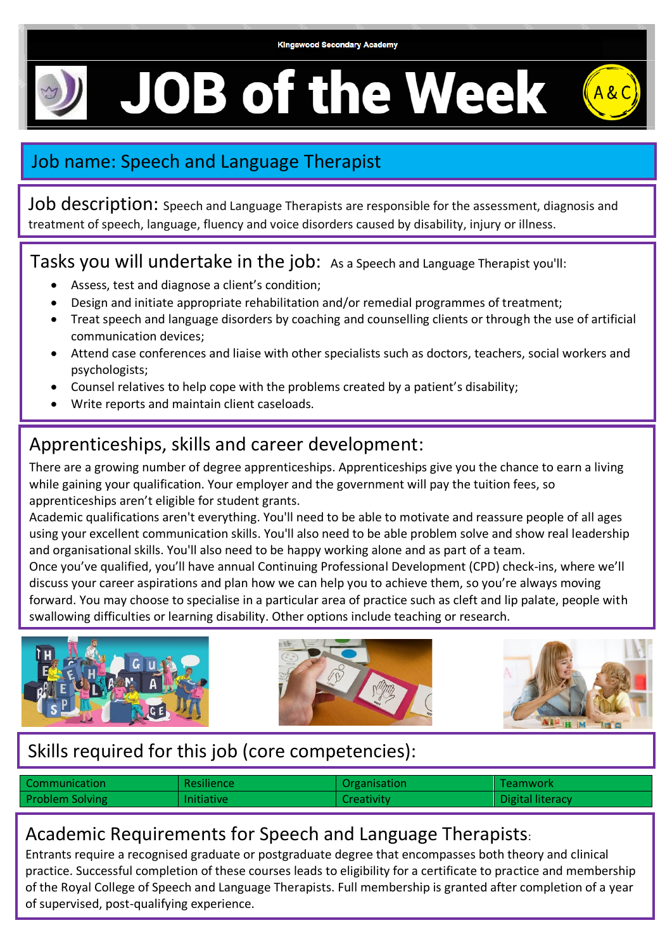

**JOB of the Week** 



# Job name: Speech and Language Therapist

Job description: Speech and Language Therapists are responsible for the assessment, diagnosis and treatment of speech, language, fluency and voice disorders caused by disability, injury or illness.

Tasks you will undertake in the job: As a Speech and Language Therapist you'll:

- Assess, test and diagnose a client's condition;
- Design and initiate appropriate rehabilitation and/or remedial programmes of treatment;
- Treat speech and language disorders by coaching and counselling clients or through the use of artificial communication devices;
- Attend case conferences and liaise with other specialists such as doctors, teachers, social workers and psychologists;
- Counsel relatives to help cope with the problems created by a patient's disability;
- Write reports and maintain client caseloads.

.

## Apprenticeships, skills and career development:

There are a growing number of degree apprenticeships. Apprenticeships give you the chance to earn a living while gaining your qualification. Your employer and the government will pay the tuition fees, so apprenticeships aren't eligible for student grants.

Academic qualifications aren't everything. You'll need to be able to motivate and reassure people of all ages using your excellent communication skills. You'll also need to be able problem solve and show real leadership and organisational skills. You'll also need to be happy working alone and as part of a team.

Once you've qualified, you'll have annual Continuing Professional Development (CPD) check-ins, where we'll discuss your career aspirations and plan how we can help you to achieve them, so you're always moving forward. You may choose to specialise in a particular area of practice such as cleft and lip palate, people with swallowing difficulties or learning disability. Other options include teaching or research.



### Skills required for this job (core competencies):

| Communication          | <b>Resilience</b> | Organisation      | <b>Teamwork</b>  |
|------------------------|-------------------|-------------------|------------------|
| <b>Problem Solving</b> | <b>Initiative</b> | <b>Creativity</b> | Digital literacy |

#### Academic Requirements for Speech and Language Therapists:

Entrants require a recognised graduate or postgraduate degree that encompasses both theory and clinical practice. Successful completion of these courses leads to eligibility for a certificate to practice and membership of the Royal College of Speech and Language Therapists. Full membership is granted after completion of a year of supervised, post-qualifying experience.